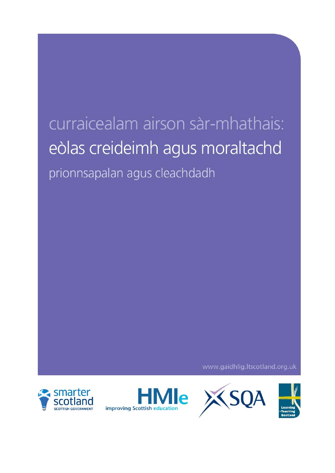# curraicealam airson sàr-mhathais: eòlas creideimh agus moraltachd prionnsapalan agus cleachdadh

www.gaidhlig.ltscotland.org.uk









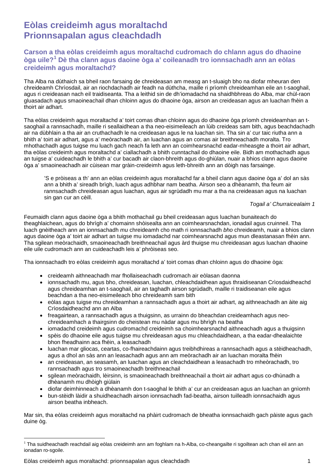## **Eòlas creideimh agus moraltachd Prionnsapalan agus cleachdadh**

#### **Carson a tha eòlas creideimh agus moraltachd cudromach do chlann agus do dhaoine òga uile?[1](#page-1-0) Dè tha clann agus daoine òga a' coileanadh tro ionnsachadh ann an eòlas creideimh agus moraltachd?**

Tha Alba na dùthaich sa bheil raon farsaing de chreideasan am measg an t-sluaigh bho na diofar mheuran den chreideamh Chrìosdail, air an riochdachadh air feadh na dùthcha, maille ri prìomh chreideamhan eile an t-saoghail, agus ri creideasan nach eil traidiseanta. Tha a leithid sin de dh'iomadachd na shaidhbhreas do Alba, mar chùl-raon gluasadach agus smaoineachail dhan chloinn agus do dhaoine òga, airson an creideasan agus an luachan fhèin a thoirt air adhart.

Tha eòlas creideimh agus moraltachd a' toirt comas dhan chloinn agus do dhaoine òga prìomh chreideamhan an tsaoghail a rannsachadh, maille ri seallaidhean a tha neo-eisimeileach an lùib creideas sam bith, agus beachdachadh air na dùbhlain a tha air an cruthachadh le na creideasan agus le na luachan sin. Tha sin a' cur taic riutha ann a bhith a' toirt air adhart, agus a' meòrachadh air, an luachan agus an comas air breithneachadh moralta. Tro mhothachadh agus tuigse mu luach gach neach fa leth ann an coimhearsnachd eadar-mheasgte a thoirt air adhart, tha eòlas creideimh agus moraltachd a' ciallachadh a bhith cunntachail do dhaoine eile. Bidh am mothachadh agus an tuigse a' cuideachadh le bhith a' cur bacadh air claon-bhreith agus do-ghiùlan, nuair a bhios clann agus daoine òga a' smaoineachadh air cùisean mar gràin-creideimh agus leth-bhreith ann an dòigh nas farsainge.

'S e pròiseas a th' ann an eòlas creideimh agus moraltachd far a bheil clann agus daoine òga a' dol an sàs ann a bhith a' sireadh brìgh, luach agus adhbhar nam beatha. Airson seo a dhèanamh, tha feum air rannsachadh chreideasan agus luachan, agus air sgrùdadh mu mar a tha na creideasan agus na luachan sin gan cur an cèill.

#### *Togail a' Churraicealaim 1*

Feumaidh clann agus daoine òga a bhith mothachail gu bheil creideasan agus luachan bunaiteach do theaghlaichean, agus do bhrìgh a' chomainn shòisealta ann an coimhearsnachdan, ionadail agus cruinneil. Tha luach gnèitheach ann an ionnsachadh *mu* chreideamh cho math ri ionnsachadh *bho* chreideamh, nuair a bhios clann agus daoine òga a' toirt air adhart an tuigse mu iomadachd nar coimhearsnachd agus mun dleastanasan fhèin ann. Tha sgilean meòrachaidh, smaoineachadh breithneachail agus àrd thuigse mu chreideasan agus luachan dhaoine eile uile cudromach ann an cuideachadh leis a' phròiseas seo.

Tha ionnsachadh tro eòlas creideimh agus moraltachd a' toirt comas dhan chloinn agus do dhaoine òga:

- creideamh aithneachadh mar fhollaiseachadh cudromach air eòlasan daonna
- ionnsachadh mu, agus bho, chreideasan, luachan, chleachdaidhean agus thraidiseanan Crìosdaidheachd agus chreideamhan an t-saoghail, air an taghadh airson sgrùdadh, maille ri traidiseanan eile agus beachdan a tha neo-eisimeileach bho chreideamh sam bith
- eòlas agus tuigse mu chreideamhan a rannsachadh agus a thoirt air adhart, ag aithneachadh an àite aig Crìosdaidheachd ann an Alba
- freagairtean, a rannsachadh agus a thuigsinn, as urrainn do bheachdan creideamhach agus neochreideamhach a thairgsinn do cheistean mu nàdar agus mu bhrìgh na beatha
- iomadachd creideimh agus cudromachd creideimh sa choimhearsnachd aithneachadh agus a thuigsinn
- spèis do dhaoine eile agus tuigse mu chreideasan agus mu chleachdaidhean, a tha eadar-dhealaichte bhon fheadhainn aca fhèin, a leasachadh
- luachan mar gliocas, ceartas, co-fhaireachdainn agus treibhdhireas a rannsachadh agus a stèidheachadh, agus a dhol an sàs ann an leasachadh agus ann am meòrachadh air an luachan moralta fhèin
- an creideasan, an seasamh, an luachan agus an cleachdaidhean a leasachadh tro mheòrachadh, tro rannsachadh agus tro smaoineachadh breithneachail
- sgilean meòrachaidh, lèirsinn, is smaoineachadh breithneachail a thoirt air adhart agus co-dhùnadh a dhèanamh mu dhòigh giùlain
- diofar deimhinneach a dhèanamh don t-saoghal le bhith a' cur an creideasan agus an luachan an gnìomh
- bun-stèidh làidir a shuidheachadh airson ionnsachadh fad-beatha, airson tuilleadh ionnsachaidh agus airson beatha inbheach.

Mar sin, tha eòlas creideimh agus moraltachd na phàirt cudromach de bheatha ionnsachaidh gach pàiste agus gach duine òg.

<span id="page-1-0"></span> $1$ Tha suidheachadh reachdail aig eòlas creideimh ann am foghlam na h-Alba, co-cheangailte ri sgoiltean ach chan eil ann an ionadan ro-sgoile.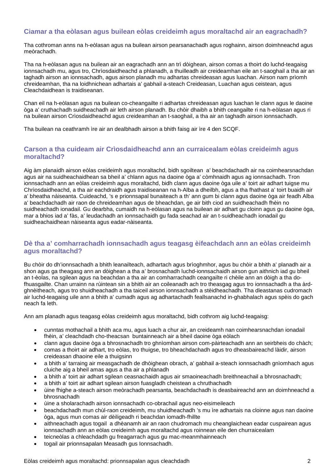### **Ciamar a tha eòlasan agus builean eòlas creideimh agus moraltachd air an eagrachadh?**

Tha cothroman anns na h-eòlasan agus na builean airson pearsanachadh agus roghainn, airson doimhneachd agus meòrachadh.

Tha na h-eòlasan agus na builean air an eagrachadh ann an trì dòighean, airson comas a thoirt do luchd-teagaisg ionnsachadh mu, agus tro, Chrìosdaidheachd a phlanadh, a thuilleadh air creideamhan eile an t-saoghail a tha air an taghadh airson an ionnsachadh, agus airson planadh mu adhartas chreideasan agus luachan. Airson nam prìomh chreideamhan, tha na loidhnichean adhartais a' gabhail a-steach Creideasan, Luachan agus ceistean, agus Cleachdaidhean is traidiseanan.

Chan eil na h-eòlasan agus na builean co-cheangailte ri adhartas chreideasan agus luachan le clann agus le daoine òga a' cruthachadh suidheachadh air leth airson planadh. Bu chòir dhaibh a bhith ceangailte ri na h-eòlasan agus ri na builean airson Crìosdaidheachd agus creideamhan an t-saoghail, a tha air an taghadh airson ionnsachadh.

Tha builean na ceathramh ìre air an dealbhadh airson a bhith faisg air ìre 4 den SCQF.

#### **Carson a tha cuideam air Crìosdaidheachd ann an curraicealam eòlas creideimh agus moraltachd?**

Aig àm planaidh airson eòlas creideimh agus moraltachd, bidh sgoiltean a' beachdachadh air na coimhearsnachdan agus air na suidheachaidhean sa bheil a' chlann agus na daoine òga a' còmhnaidh agus ag ionnsachadh. Tron ionnsachadh ann an eòlas creideimh agus moraltachd, bidh clann agus daoine òga uile a' toirt air adhart tuigse mu Chrìosdaidheachd, a tha air eachdraidh agus traidiseanan na h-Alba a dheilbh, agus a tha fhathast a' toirt buaidh air a' bheatha nàiseanta. Cuideachd, 's e prionnsapal bunaiteach a th' ann gum bi clann agus daoine òga air feadh Alba a' beachdachadh air raon de chreideamhan agus de bheachdan, ge air bith ciod an suidheachadh fhèin no suidheachadh ionadail. Gu dearbha, cumaidh na h-eòlasan agus na builean air adhart gu cloinn agus gu daoine òga, mar a bhios iad a' fàs, a' leudachadh an ionnsachaidh gu fada seachad air an t-suidheachadh ionadail gu suidheachaidhean nàiseanta agus eadar-nàiseanta.

#### **Dè tha a' comharrachadh ionnsachadh agus teagasg èifeachdach ann an eòlas creideimh agus moraltachd?**

Bu chòir do dh'ionnsachadh a bhith leanailteach, adhartach agus brìoghmhor, agus bu chòir a bhith a' planadh air a shon agus ga theagasg ann an dòighean a tha a' brosnachadh luchd-ionnsachaidh airson gun aithnich iad gu bheil an t-èolas, na sgilean agus na beachdan a tha air an comharrachadh ceangailte ri chèile ann an dòigh a tha dofhuasgailte. Chan urrainn na rùintean sin a bhith air an coileanadh ach tro theasgag agus tro ionnsachadh a tha àrdghnèitheach, agus tro shuidheachadh a tha taiceil airson ionnsachadh a stèidheachadh. Tha dleastanas cudromach air luchd-teagaisg uile ann a bhith a' cumadh agus ag adhartachadh feallsanachd in-ghabhalach agus spèis do gach neach fa leth.

Ann am planadh agus teagasg eòlas creideimh agus moraltachd, bidh cothrom aig luchd-teagaisg:

- cunntas mothachail a bhith aca mu, agus luach a chur air, an creideamh nan coimhearsnachdan ionadail fhèin, a' cleachdadh cho-theacsan buntainneach air a bheil daoine òga eòlach
- clann agus daoine òga a bhrosnachadh tro ghnìomhan airson com-pàirteachadh ann an seirbheis do chàch;
- comas a thoirt air adhart, tro eòlas, tro thuigse, tro bheachdachadh agus tro dheasbaireachd làidir, airson creideasan dhaoine eile a thuigsinn
- a bhith a' tarraing air measgachadh de dhòighean obrach, a' gabhail a-steach ionnsachadh gnìomhach agus cluiche aig a bheil amas agus a tha air a phlanadh
- a bhith a' toirt air adhart sgilean ceasnachaidh agus air smaoineachadh breithneachail a bhrosnachadh;
- a bhith a' toirt air adhart sgilean airson fuasgladh cheistean a chruthachadh
- ùine fhighe a-steach airson meòrachadh pearsanta, beachdachadh is deasbaireachd ann an doimhneachd a bhrosnachadh
- ùine a sholarachadh airson ionnsachadh co-obrachail agus neo-eisimeileach
- beachdachadh mun chùl-raon creideimh, mu shuidheachadh 's mu ìre adhartais na cloinne agus nan daoine òga, agus mun comas air dèiligeadh ri beachdan iomadh-fhillte
- aithneachadh agus togail a dhèanamh air an raon chudromach mu cheanglaichean eadar cuspairean agus ionnsachadh ann an eòlas creideimh agus moraltachd agus roinnean eile den churraicealam
- teicneòlas a chleachdadh gu freagarrach agus gu mac-meanmhainneach
- togail air prionnsapalan Measadh gus Ionnsachadh.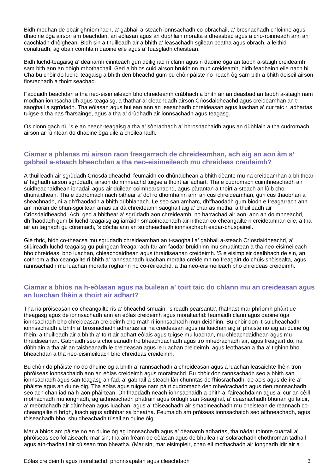Bidh modhan de obair ghnìomhach, a' gabhail a-steach ionnsachadh co-obrachail, a' brosnachadh chloinne agus dhaoine òga airson am beachdan, an eòlasan agus an dùbhlain moralta a dheasbad agus a cho-roinneadh ann an caochladh dhòighean. Bidh sin a thuilleadh air a bhith a' leasachadh sgilean beatha agus obrach, a leithid conaltradh, ag obair còmhla ri daoine eile agus a' fuasgladh cheistean.

Bidh luchd-teagaisg a' dèanamh cinnteach gun dèilig iad ri clann agus ri daoine òga an taobh a-staigh creideamh sam bith ann an dòigh mhothachail. Ged a bhios cuid airson bruidhinn mun creideamh, bidh feadhainn eile nach bi. Cha bu chòir do luchd-teagaisg a bhith den bheachd gum bu chòir pàiste no neach òg sam bith a bhith deiseil airson fiosrachadh a thoirt seachad.

Faodaidh beachdan a tha neo-eisimeileach bho chreideamh cràbhach a bhith air an deasbad an taobh a-staigh nam modhan ionnsachaidh agus teagaisg, a thathar a' cleachdadh airson Crìosdaidheachd agus creideamhan an tsaoghail a sgrùdadh. Tha eòlasan agus builean ann an leasachadh chreideasan agus luachan a' cur taic ri adhartas tuigse a tha nas fharsainge, agus a tha a' drùdhadh air ionnsachadh agus teagasg.

Os cionn gach nì, 's e an neach-teagaisg a tha a' sònrachadh a' bhrosnachaidh agus an dùbhlain a tha cudromach airson ar rùintean do dhaoine òga uile a choileanadh.

#### **Ciamar a phlanas mi airson raon freagarrach de chreideamhan, ach aig an aon àm a' gabhail a-steach bheachdan a tha neo-eisimeileach mu chreideas creideimh?**

A thuilleadh air sgrùdadh Crìosdaidheachd, feumaidh co-dhùnaidhean a bhith dèante mu na creideamhan a bhithear a' taghadh airson sgrùdadh, airson doimhneachd tuigse a thoirt air adhart. Tha e cudromach cuimhneachadh air suidheachaidhean ionadail agus air dùilean coimhearsnachd, agus pàrantan a thoirt a-steach an lùib chodhùnaidhean. Tha e cudromach nach bithear a' dol ro dhomhainn ann an cus chreideamhan, gun cus thaobhan a sheachnadh, nì a dh'fhaodadh a bhith dùbhlanach. Le seo san amharc, dh'fhaodadh gum biodh e freagarrach ann am mòran de bhun-sgoiltean amas air dà chreideamh saoghail aig a' char as motha, a thuilleadh air Crìosdaidheachd. Ach, ged a bhithear a' sgrùdadh aon chreideamh, no barrachad air aon, ann an doimhneachd, dh'fhaodadh gum bi luchd-teagaisg ag iarraidh smaoineachadh air nithean co-cheangailte ri creideamhan eile, a tha air an taghadh gu cùramach, 's dòcha ann an suidheachadh ionnsachadh eadar-chuspaireil.

Glè thric, bidh co-theacsa mu sgrùdadh chreideamhan an t-saoghail a' gabhail a-steach Crìosdaidheachd, a' stiùireadh luchd-teagaisg gu puingean freagarrach far am faodar bruidhinn mu smuaintean a tha neo-eisimeileach bho chreideas, bho luachan, chleachdaidhean agus thraidiseanan creideimh. 'S e eisimpleir dealbhach de sin, an cothrom a tha ceangailte ri bhith a' rannsachadh luachan moralta creideimh no freagairt do chùis shòisealta, agus rannsachadh mu luachan moralta roghainn no co-rèireachd, a tha neo-eisimeileach bho chreideas creideimh.

#### **Ciamar a bhios na h-eòlasan agus na builean a' toirt taic do chlann mu an creideasan agus an luachan fhèin a thoirt air adhart?**

Tha na pròiseasan co-cheangailte ris a' bheachd-smuain, 'sireadh pearsanta', fhathast mar phrìomh phàirt de theagasg agus de ionnsachadh ann an eòlas creideimh agus moraltachd: feumaidh clann agus daoine òga ionnsachadh bho chreideasan creideimh cho math ri ionnsachadh mun deidhinn. Bu chòir don t-suidheachadh ionnsachaidh a bhith a' brosnachadh adhartas air na creideasan agus na luachan aig a' phàiste no aig an duine òg fhèin, a thuilleadh air a bhith a' toirt air adhart eòlais agus tuigse mu luachan, mu chleachdaidhean agus mu thraidiseanan. Gabhaidh seo a choileanadh tro bheachdachadh agus tro mheòrachadh air, agus freagairt do, na dùbhlain a tha air an taisbeanadh le creideasan agus le luachan creideimh, agus leothasan a tha a' tighinn bho bheachdan a tha neo-eisimeileach bho chreideas creideimh.

Bu chòir do phàiste no do dhuine òg a bhith a' rannsachadh a chreideasan agus a luachan leasaichte fhèin tron phròiseas ionnsachaidh ann an eòlas creideimh agus moraltachd. Bu chòir don rannsachadh seo a bhith san ionnsachadh agus san teagasg air fad, a' gabhail a-steach làn chunntas de fhiosrachadh, de aois agus de ìre a' phàiste agus an duine òig. Tha eòlas agus tuigse nam pàirt cudromach den mheòrachadh agus den rannsachadh seo ach chan iad na h-aon phàirtean. Dh'fhaodadh neach-ionnsachaidh a bhith a' faireachdainn agus a' cur an cèill mothachadh mu iongnadh, ag aithneachadh phàtrain agus òrdugh san t-saoghal, a' ceasnachadh bhunan gu làidir, a' meòrachadh air dàimhean agus luachan, agus a' tòiseachadh air smaoineachadh mu cheistean deireannach cocheangailte ri brìgh, luach agus adhbhar sa bheatha. Feumaidh am pròiseas ionnsachaidh seo aithneachadh, agus tòiseachadh bho, shuidheachadh tùsail an duine òig.

Mar a bhios am pàiste no an duine òg ag ionnsachadh agus a' dèanamh adhartas, tha nàdar toinnte cuartail a' phròiseas seo follaiseach: mar sin, tha am frèam de eòlasan agus de bhuilean a' solarachadh chothroman tadhail agus ath-thadhail air cùisean tron bheatha. (Mar sin, mar eisimpleir, chan eil mothachadh air iongnadh idir air a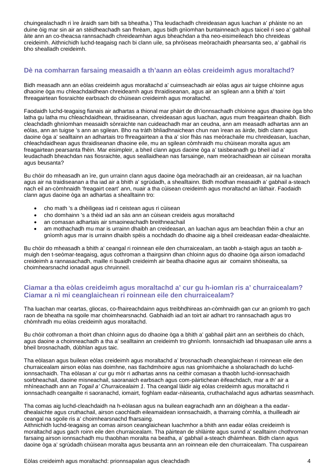chuingealachadh ri ìre àraidh sam bith sa bheatha.) Tha leudachadh chreideasan agus luachan a' phàiste no an duine òig mar sin air an stèidheachadh san fhrèam, agus bidh gnìomhan buntainneach agus taiceil ri seo a' gabhail àite ann an co-theacsa rannsachadh chreideamhan agus bheachdan a tha neo-eisimeileach bho chreideas creideimh. Aithnichidh luchd-teagaisg nach bi clann uile, sa phròiseas meòrachaidh phearsanta seo, a' gabhail ris bho shealladh creideimh.

#### **Dè na comharran farsaing measaidh a th'aann an eòlas creideimh agus moraltachd?**

Bidh measadh ann an eòlas creideimh agus moraltachd a' cuimseachadh air eòlas agus air tuigse chloinne agus dhaoine òga mu chleachdaidhean chreideamh agus thraidiseanan, agus air an sgilean ann a bhith a' toirt fhreagairtean fiosraichte earbsach do chùisean creideimh agus moraltachd.

Faodaidh luchd-teagaisg fianais air adhartas a thional mar phàirt de dh'ionnsachadh chloinne agus dhaoine òga bho latha gu latha mu chleachdaidhean, thraidiseanan, chreideasan agus luachan, agus mum freagairtean dhaibh. Bidh cleachdadh ghnìomhan measaidh sònraichte nan cuideachadh mar an ceudna, ann am measadh adhartas ann an eòlas, ann an tuigse 's ann an sgilean. Bho na tràth bhliadhnaichean chun nan ìrean as àirde, bidh clann agus daoine òga a' sealltainn an adhartais tro fhreagairtean a tha a' sìor fhàs nas meòrachaile mu chreideasan, luachan, chleachdaidhean agus thraidiseanan dhaoine eile, mu an sgilean còmhraidh mu chùisean moralta agus am freagairtean pearsanta fhèin. Mar eisimpleir, a bheil clann agus daoine òga a' taisbeanadh gu bheil iad a' leudachadh bheachdan nas fiosraichte, agus seallaidhean nas farsainge, nam meòrachaidhean air cùisean moralta agus beusanta?

Bu chòir do mheasadh an ìre, gun urrainn clann agus daoine òga meòrachadh air an creideasan, air na luachan agus air na traidiseanan a tha iad air a bhith a' sgrùdadh, a shealltainn. Bidh modhan measaidh a' gabhail a-steach nach eil an-còmhnaidh 'freagairt ceart' ann, nuair a tha cùisean creideimh agus moraltachd an làthair. Faodaidh clann agus daoine òga an adhartas a shealltainn tro:

- cho math 's a dhèiligeas iad ri ceistean agus ri cùisean
- cho domhainn 's a thèid iad an sàs ann an cùisean creideis agus moraltachd
- an comasan adhartais air smaoineachadh breithneachail
- am mothachadh mu mar is urrainn dhaibh an creideasan, an luachan agus am beachdan fhèin a chur an gnìomh agus mar is urrainn dhaibh spèis a nochdadh do dhaoine aig a bheil creideasan eadar-dhealaichte.

Bu chòir do mheasadh a bhith a' ceangal ri roinnean eile den churraicealam, an taobh a-staigh agus an taobh amuigh den t-seòmar-teagaisg, agus cothroman a thairgsinn dhan chloinn agus do dhaoine òga airson iomadachd creideimh a rannasachadh, maille ri buaidh creideimh air beatha dhaoine agus air comainn shòisealta, sa choimhearsnachd ionadail agus chruinneil.

#### **Ciamar a tha eòlas creideimh agus moraltachd a' cur gu h-iomlan ris a' churraicealam? Ciamar a nì mi ceanglaichean ri roinnean eile den churraicealam?**

Tha luachan mar ceartas, gliocas, co-fhaireachdainn agus treibhdhireas an-còmhnaidh gan cur an gnìomh tro gach raon de bheatha na sgoile mar choimhearsnachd. Gabhaidh iad an toirt air adhart tro rannsachadh agus tro chòmhradh mu eòlas creideimh agus moraltachd.

Bu chòir cothroman a thoirt dhan chloinn agus do dhaoine òga a bhith a' gabhail pàirt ann an seirbheis do chàch, agus daoine a choinneachadh a tha a' sealltainn an creideimh tro ghnìomh. Ionnsaichidh iad bhuapasan uile anns a bheil brosnachadh, dùbhlan agus taic.

Tha eòlasan agus builean eòlas creideimh agus moraltachd a' brosnachadh cheanglaichean ri roinnean eile den churraicealam airson eòlas nas doimhne, nas tlachdmhoire agus nas gnìomhaiche a sholarachadh do luchdionnsachaidh. Tha eòlasan a' cur gu mòr ri adhartas anns na ceithir comasan a thaobh luchd-ionnsachaidh soirbheachail, daoine misneachail, saoranaich earbsach agus com-pàirtichean èifeachdach, mar a th' air a mhìneachadh ann an *Togail a' Churraicealaim 1*. Tha ceangal làidir aig eòlas creideimh agus moraltachd ri ionnsachadh ceangailte ri saoranachd, iomairt, foghlam eadar-nàiseanta, cruthachalachd agus adhartas seasmhach.

Tha comas aig luchd-cleachdaidh na h-eòlasan agus na builean eagrachadh ann an dòighean a tha eadardhealaichte agus cruthachail, airson caochladh eileamaidean ionnsachaidh, a tharraing còmhla, a thuilleadh air ceangal na sgoile ris a' choimhearsnachd fharsaing.

Aithnichidh luchd-teagaisg an comas airson ceanglaichean luachmhor a bhith ann eadar eòlas creideimh is moraltachd agus gach roinn eile den churraicealam. Tha pàirtean de shlàinte agus sunnd a' sealltainn chothroman farsaing airson ionnsachadh mu thaobhan moralta na beatha, a' gabhail a-steach dhàimhean. Bidh clann agus daoine òga a' sgrùdadh chùisean moralta agus beusanta ann an roinnean eile den churraicealam. Tha cuspairean